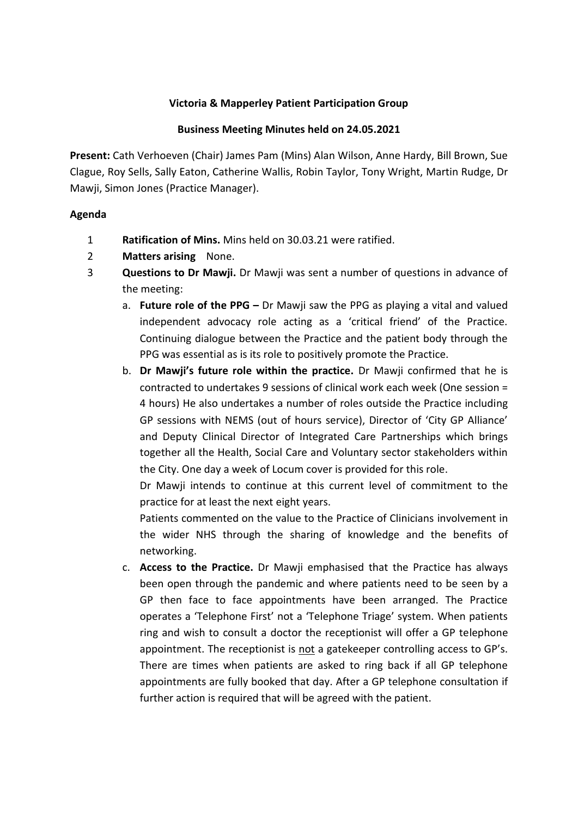## **Victoria & Mapperley Patient Participation Group**

#### **Business Meeting Minutes held on 24.05.2021**

**Present:** Cath Verhoeven (Chair) James Pam (Mins) Alan Wilson, Anne Hardy, Bill Brown, Sue Clague, Roy Sells, Sally Eaton, Catherine Wallis, Robin Taylor, Tony Wright, Martin Rudge, Dr Mawji, Simon Jones (Practice Manager).

## **Agenda**

- 1 **Ratification of Mins.** Mins held on 30.03.21 were ratified.
- 2 **Matters arising** None.
- 3 **Questions to Dr Mawji.** Dr Mawji was sent a number of questions in advance of the meeting:
	- a. **Future role of the PPG –** Dr Mawji saw the PPG as playing a vital and valued independent advocacy role acting as a 'critical friend' of the Practice. Continuing dialogue between the Practice and the patient body through the PPG was essential as is its role to positively promote the Practice.
	- b. **Dr Mawji's future role within the practice.** Dr Mawji confirmed that he is contracted to undertakes 9 sessions of clinical work each week (One session = 4 hours) He also undertakes a number of roles outside the Practice including GP sessions with NEMS (out of hours service), Director of 'City GP Alliance' and Deputy Clinical Director of Integrated Care Partnerships which brings together all the Health, Social Care and Voluntary sector stakeholders within the City. One day a week of Locum cover is provided for this role.

Dr Mawji intends to continue at this current level of commitment to the practice for at least the next eight years.

Patients commented on the value to the Practice of Clinicians involvement in the wider NHS through the sharing of knowledge and the benefits of networking.

c. **Access to the Practice.** Dr Mawji emphasised that the Practice has always been open through the pandemic and where patients need to be seen by a GP then face to face appointments have been arranged. The Practice operates a 'Telephone First' not a 'Telephone Triage' system. When patients ring and wish to consult a doctor the receptionist will offer a GP telephone appointment. The receptionist is not a gatekeeper controlling access to GP's. There are times when patients are asked to ring back if all GP telephone appointments are fully booked that day. After a GP telephone consultation if further action is required that will be agreed with the patient.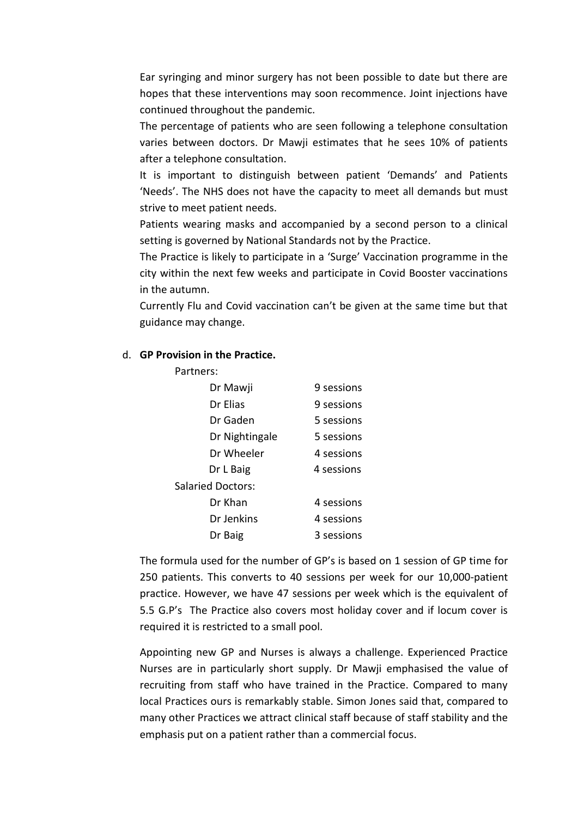Ear syringing and minor surgery has not been possible to date but there are hopes that these interventions may soon recommence. Joint injections have continued throughout the pandemic.

The percentage of patients who are seen following a telephone consultation varies between doctors. Dr Mawji estimates that he sees 10% of patients after a telephone consultation.

It is important to distinguish between patient 'Demands' and Patients 'Needs'. The NHS does not have the capacity to meet all demands but must strive to meet patient needs.

Patients wearing masks and accompanied by a second person to a clinical setting is governed by National Standards not by the Practice.

The Practice is likely to participate in a 'Surge' Vaccination programme in the city within the next few weeks and participate in Covid Booster vaccinations in the autumn.

Currently Flu and Covid vaccination can't be given at the same time but that guidance may change.

#### d. **GP Provision in the Practice.**

| Partners:                |            |
|--------------------------|------------|
| Dr Mawji                 | 9 sessions |
| Dr Elias                 | 9 sessions |
| Dr Gaden                 | 5 sessions |
| Dr Nightingale           | 5 sessions |
| Dr Wheeler               | 4 sessions |
| Dr L Baig                | 4 sessions |
| <b>Salaried Doctors:</b> |            |
| Dr Khan                  | 4 sessions |
| Dr Jenkins               | 4 sessions |
| Dr Baig                  | 3 sessions |

The formula used for the number of GP's is based on 1 session of GP time for 250 patients. This converts to 40 sessions per week for our 10,000-patient practice. However, we have 47 sessions per week which is the equivalent of 5.5 G.P's The Practice also covers most holiday cover and if locum cover is required it is restricted to a small pool.

Appointing new GP and Nurses is always a challenge. Experienced Practice Nurses are in particularly short supply. Dr Mawji emphasised the value of recruiting from staff who have trained in the Practice. Compared to many local Practices ours is remarkably stable. Simon Jones said that, compared to many other Practices we attract clinical staff because of staff stability and the emphasis put on a patient rather than a commercial focus.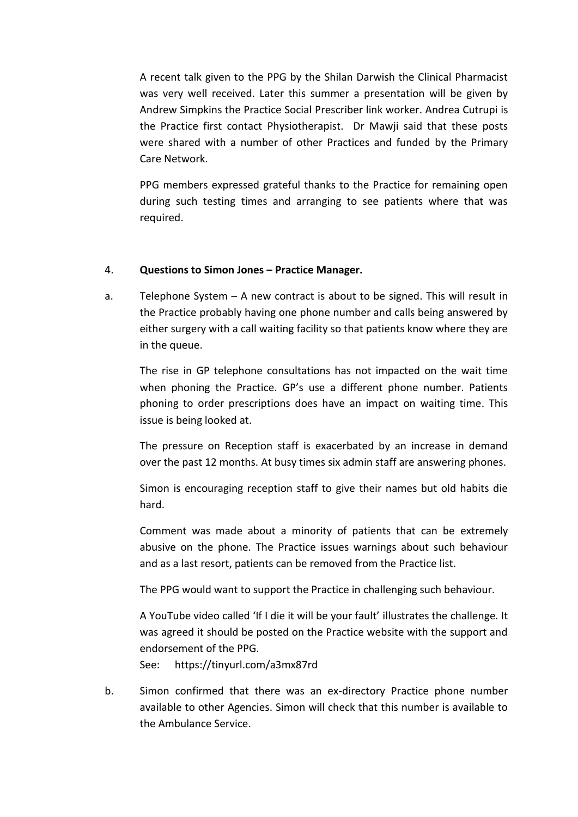A recent talk given to the PPG by the Shilan Darwish the Clinical Pharmacist was very well received. Later this summer a presentation will be given by Andrew Simpkins the Practice Social Prescriber link worker. Andrea Cutrupi is the Practice first contact Physiotherapist. Dr Mawji said that these posts were shared with a number of other Practices and funded by the Primary Care Network.

PPG members expressed grateful thanks to the Practice for remaining open during such testing times and arranging to see patients where that was required.

# 4. **Questions to Simon Jones – Practice Manager.**

a. Telephone System – A new contract is about to be signed. This will result in the Practice probably having one phone number and calls being answered by either surgery with a call waiting facility so that patients know where they are in the queue.

The rise in GP telephone consultations has not impacted on the wait time when phoning the Practice. GP's use a different phone number. Patients phoning to order prescriptions does have an impact on waiting time. This issue is being looked at.

The pressure on Reception staff is exacerbated by an increase in demand over the past 12 months. At busy times six admin staff are answering phones.

Simon is encouraging reception staff to give their names but old habits die hard.

Comment was made about a minority of patients that can be extremely abusive on the phone. The Practice issues warnings about such behaviour and as a last resort, patients can be removed from the Practice list.

The PPG would want to support the Practice in challenging such behaviour.

A YouTube video called 'If I die it will be your fault' illustrates the challenge. It was agreed it should be posted on the Practice website with the support and endorsement of the PPG.

See: https://tinyurl.com/a3mx87rd

b. Simon confirmed that there was an ex-directory Practice phone number available to other Agencies. Simon will check that this number is available to the Ambulance Service.